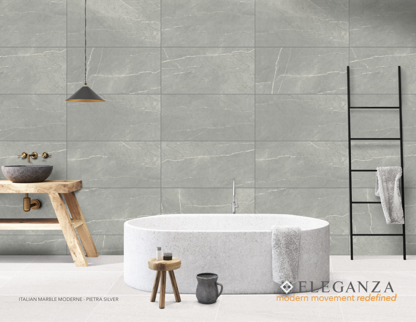ITALIAN MARBLE MODERNE - PIETRA SILVER

 $-3 - 3$ 

## **ELEGANZA**<br>modern movement redefined